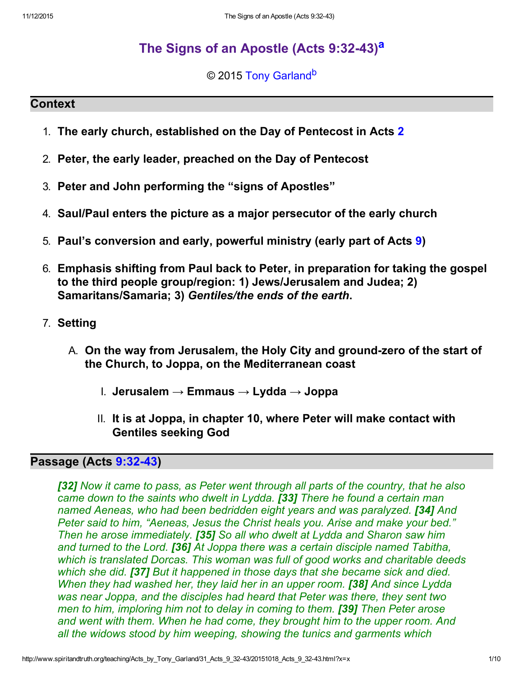# The Signs of an Apostle (Acts 9:32-43)<sup>a</sup>

<span id="page-0-1"></span><span id="page-0-0"></span>© 2015 [Tony Garland](http://www.spiritandtruth.org/id/tg.htm)<sup>b</sup>

#### **Context**

- 1. The early church, established on the Day of Pentecost in Acts [2](http://www.spiritandtruth.org/bibles/nasb/b44c002.htm#Acts_C2V1)
- 2. Peter, the early leader, preached on the Day of Pentecost
- 3. Peter and John performing the "signs of Apostles"
- 4. Saul/Paul enters the picture as a major persecutor of the early church
- 5. Paul's conversion and early, powerful ministry (early part of Acts [9](http://www.spiritandtruth.org/bibles/nasb/b44c009.htm#Acts_C9V1))
- 6. Emphasis shifting from Paul back to Peter, in preparation for taking the gospel to the third people group/region: 1) Jews/Jerusalem and Judea; 2) Samaritans/Samaria; 3) Gentiles/the ends of the earth.
- 7. Setting
	- A. On the way from Jerusalem, the Holy City and ground-zero of the start of the Church, to Joppa, on the Mediterranean coast
		- I. Jerusalem → Emmaus → Lydda → Joppa
		- II. It is at Joppa, in chapter 10, where Peter will make contact with Gentiles seeking God

# Passage (Acts 9:32-43)

[32] Now it came to pass, as Peter went through all parts of the country, that he also came down to the saints who dwelt in Lydda. [33] There he found a certain man named Aeneas, who had been bedridden eight years and was paralyzed. **[34]** And Peter said to him, "Aeneas, Jesus the Christ heals you. Arise and make your bed." Then he arose immediately. [35] So all who dwelt at Lydda and Sharon saw him and turned to the Lord. **[36]** At Joppa there was a certain disciple named Tabitha, which is translated Dorcas. This woman was full of good works and charitable deeds which she did. **[37]** But it happened in those days that she became sick and died. When they had washed her, they laid her in an upper room. **[38]** And since Lydda was near Joppa, and the disciples had heard that Peter was there, they sent two men to him, imploring him not to delay in coming to them. **[39]** Then Peter arose and went with them. When he had come, they brought him to the upper room. And all the widows stood by him weeping, showing the tunics and garments which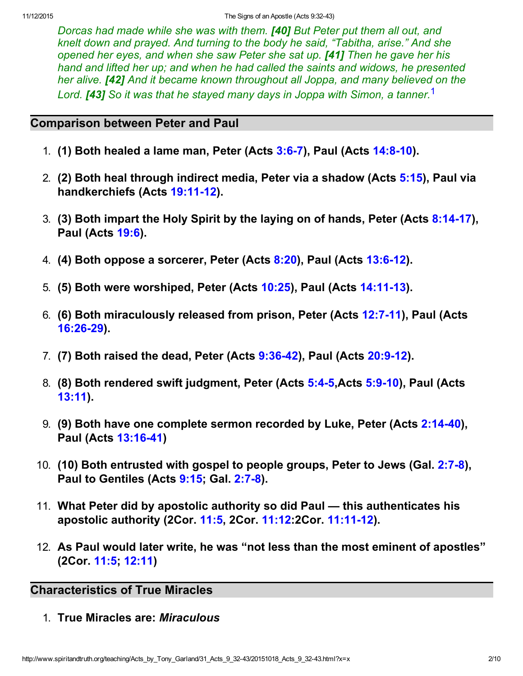Dorcas had made while she was with them. [40] But Peter put them all out, and knelt down and prayed. And turning to the body he said, "Tabitha, arise." And she opened her eyes, and when she saw Peter she sat up. [41] Then he gave her his hand and lifted her up; and when he had called the saints and widows, he presented her alive. **[42]** And it became known throughout all Joppa, and many believed on the Lord. **[43]** So it was that he staved many days in Joppa with Simon, a tanner.<sup>1</sup>

### Comparison between Peter and Paul

- 1. (1) Both healed a lame man, Peter (Acts  $3:6-7$ ), Paul (Acts  $14:8-10$ ).
- 2. (2) Both heal through indirect media, Peter via a shadow (Acts [5:15\)](http://www.spiritandtruth.org/bibles/nasb/b44c005.htm#Acts_C5V15), Paul via handkerchiefs (Acts 19:11-12).
- 3. **(3) Both impart the Holy Spirit by the laying on of hands, Peter (Acts 8:14-17),** Paul (Acts [19:6\)](http://www.spiritandtruth.org/bibles/nasb/b44c019.htm#Acts_C19V6).
- 4.  $(4)$  Both oppose a sorcerer, Peter (Acts  $8:20$ ), Paul (Acts  $13:6-12$ ).
- 5. **(5) Both were worshiped, Peter (Acts [10:25\)](http://www.spiritandtruth.org/bibles/nasb/b44c010.htm#Acts_C10V25), Paul (Acts 14:11-13).**
- 6. **(6) Both miraculously released from prison, Peter (Acts 12:7-11), Paul (Acts** 16:26-29).
- 7. (7) Both raised the dead, Peter (Acts 9:36-42), Paul (Acts 20:9-12).
- 8. (8) Both rendered swift judgment, Peter (Acts [5:45,](http://www.spiritandtruth.org/bibles/nasb/b44c005.htm#Acts_C5V4)Acts [5:910](http://www.spiritandtruth.org/bibles/nasb/b44c005.htm#Acts_C5V9)), Paul (Acts [13:11\)](http://www.spiritandtruth.org/bibles/nasb/b44c013.htm#Acts_C13V11).
- 9. (9) Both have one complete sermon recorded by Luke, Peter (Acts 2:14-40), Paul (Acts 13:16-41)
- 10. **(10) Both entrusted with gospel to people groups, Peter to Jews (Gal. 2:7-8),** Paul to Gentiles (Acts [9:15](http://www.spiritandtruth.org/bibles/nasb/b44c009.htm#Acts_C9V15); Gal. 2:7-8).
- 11. What Peter did by apostolic authority so did Paul this authenticates his apostolic authority (2Cor. [11:5,](http://www.spiritandtruth.org/bibles/nasb/b47c011.htm#2Cor._C11V5) 2Cor. [11:12:](http://www.spiritandtruth.org/bibles/nasb/b47c011.htm#2Cor._C11V12)2Cor. 11:11-12).
- 12. As Paul would later write, he was "not less than the most eminent of apostles" (2Cor. [11:5;](http://www.spiritandtruth.org/bibles/nasb/b47c011.htm#2Cor._C11V5) [12:11\)](http://www.spiritandtruth.org/bibles/nasb/b47c012.htm#2Cor._C12V11)

# Characteristics of True Miracles

1. True Miracles are: Miraculous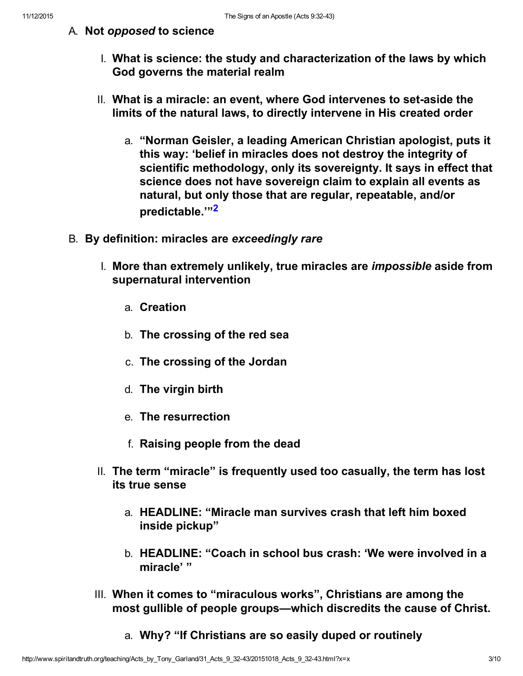### A. Not opposed to science

- I. What is science: the study and characterization of the laws by which God governs the material realm
- II. What is a miracle: an event, where God intervenes to set-aside the limits of the natural laws, to directly intervene in His created order
	- a. "Norman Geisler, a leading American Christian apologist, puts it this way: 'belief in miracles does not destroy the integrity of scientific methodology, only its sovereignty. It says in effect that science does not have sovereign claim to explain all events as natural, but only those that are regular, repeatable, and/or predictable."<sup>2</sup>
- B. By definition: miracles are exceedingly rare
	- I. More than extremely unlikely, true miracles are impossible aside from supernatural intervention
		- a. Creation
		- b. The crossing of the red sea
		- c. The crossing of the Jordan
		- d. The virgin birth
		- e. The resurrection
		- f. Raising people from the dead
	- II. The term "miracle" is frequently used too casually, the term has lost its true sense
		- a. HEADLINE: "Miracle man survives crash that left him boxed inside pickup"
		- b. HEADLINE: "Coach in school bus crash: 'We were involved in a miracle' "
	- III. When it comes to "miraculous works", Christians are among the most gullible of people groups—which discredits the cause of Christ.
		- a. Why? "If Christians are so easily duped or routinely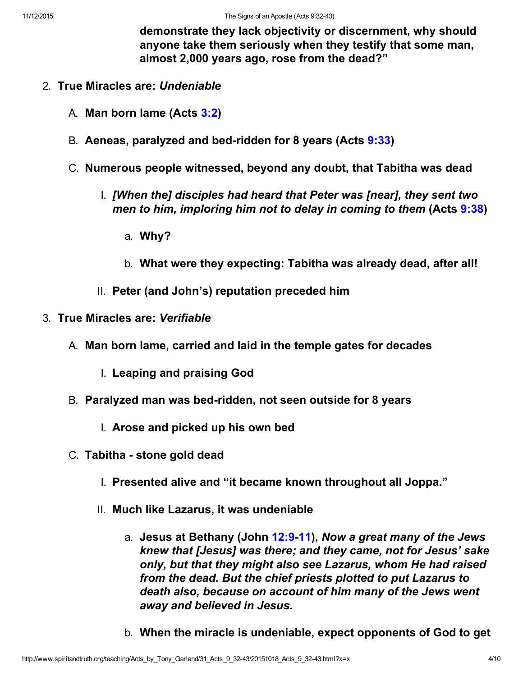demonstrate they lack objectivity or discernment, why should anyone take them seriously when they testify that some man, almost 2,000 years ago, rose from the dead?"

- 2. True Miracles are: Undeniable
	- A. Man born lame (Acts [3:2\)](http://www.spiritandtruth.org/bibles/nasb/b44c003.htm#Acts_C3V2)
	- B. Aeneas, paralyzed and bed-ridden for 8 years (Acts [9:33](http://www.spiritandtruth.org/bibles/nasb/b44c009.htm#Acts_C9V33))
	- C. Numerous people witnessed, beyond any doubt, that Tabitha was dead
		- I. [When the] disciples had heard that Peter was [near], they sent two men to him, imploring him not to delay in coming to them (Acts [9:38](http://www.spiritandtruth.org/bibles/nasb/b44c009.htm#Acts_C9V38))
			- a. Why?
			- b. What were they expecting: Tabitha was already dead, after all!
		- II. Peter (and John's) reputation preceded him
- 3. True Miracles are: Verifiable
	- A. Man born lame, carried and laid in the temple gates for decades
		- I. Leaping and praising God
	- B. Paralyzed man was bed-ridden, not seen outside for 8 years
		- I. Arose and picked up his own bed
	- C. Tabitha stone gold dead
		- I. Presented alive and "it became known throughout all Joppa."
		- II. Much like Lazarus, it was undeniable
			- a. Jesus at Bethany (John 12:9-11), Now a great many of the Jews knew that [Jesus] was there; and they came, not for Jesus' sake only, but that they might also see Lazarus, whom He had raised from the dead. But the chief priests plotted to put Lazarus to death also, because on account of him many of the Jews went away and believed in Jesus.
			- b. When the miracle is undeniable, expect opponents of God to get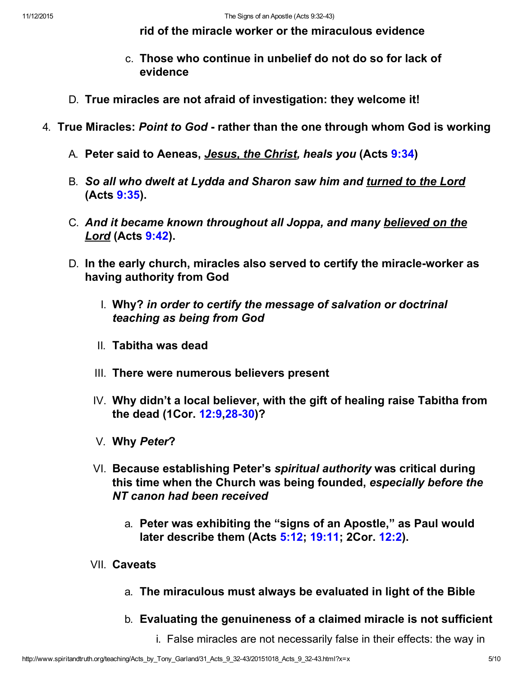rid of the miracle worker or the miraculous evidence

- c. Those who continue in unbelief do not do so for lack of evidence
- D. True miracles are not afraid of investigation: they welcome it!
- 4. True Miracles: Point to God rather than the one through whom God is working
	- A. Peter said to Aeneas, *Jesus, the Christ, heals you* (Acts [9:34](http://www.spiritandtruth.org/bibles/nasb/b44c009.htm#Acts_C9V34))
	- B. So all who dwelt at Lydda and Sharon saw him and turned to the Lord (Acts [9:35\)](http://www.spiritandtruth.org/bibles/nasb/b44c009.htm#Acts_C9V35).
	- C. And it became known throughout all Joppa, and many believed on the Lord (Acts [9:42](http://www.spiritandtruth.org/bibles/nasb/b44c009.htm#Acts_C9V42)).
	- D. In the early church, miracles also served to certify the miracle-worker as having authority from God
		- I. Why? in order to certify the message of salvation or doctrinal teaching as being from God
		- II. Tabitha was dead
		- III. There were numerous believers present
		- IV. Why didn't a local believer, with the gift of healing raise Tabitha from the dead (1Cor. [12:9](http://www.spiritandtruth.org/bibles/nasb/b46c012.htm#1Cor._C12V9),28-30)?
		- V. Why Peter?
		- VI. Because establishing Peter's spiritual authority was critical during this time when the Church was being founded, especially before the NT canon had been received
			- a. Peter was exhibiting the "signs of an Apostle," as Paul would later describe them (Acts [5:12;](http://www.spiritandtruth.org/bibles/nasb/b44c005.htm#Acts_C5V12) [19:11](http://www.spiritandtruth.org/bibles/nasb/b44c019.htm#Acts_C19V11); 2Cor. [12:2](http://www.spiritandtruth.org/bibles/nasb/b47c012.htm#2Cor._C12V2)).
		- VII. Caveats
			- a. The miraculous must always be evaluated in light of the Bible
			- b. Evaluating the genuineness of a claimed miracle is not sufficient
				- i. False miracles are not necessarily false in their effects: the way in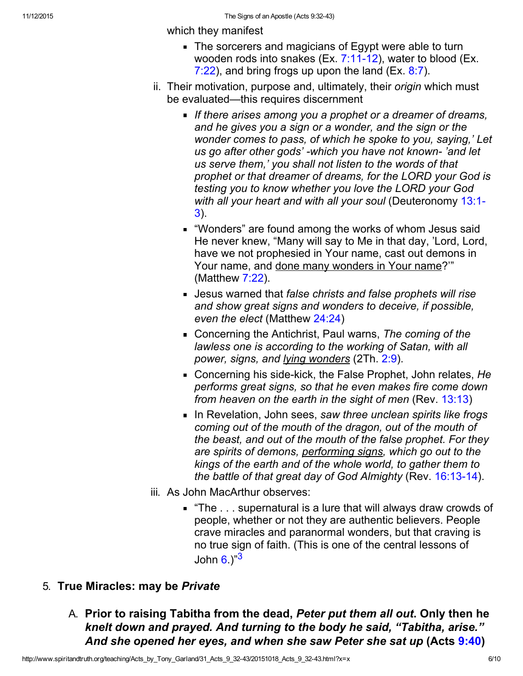which they manifest

- The sorcerers and magicians of Egypt were able to turn wooden rods into snakes (Ex.  $7:11-12$ ), water to blood (Ex. [7:22](http://www.spiritandtruth.org/bibles/nasb/b02c007.htm#Ex._C7V22)), and bring frogs up upon the land (Ex.  $8:7$ ).
- ii. Their motivation, purpose and, ultimately, their *origin* which must be evaluated—this requires discernment
	- If there arises among you a prophet or a dreamer of dreams, and he gives you a sign or a wonder, and the sign or the wonder comes to pass, of which he spoke to you, saying,' Let us go after other gods' -which you have not known-'and let us serve them,' you shall not listen to the words of that prophet or that dreamer of dreams, for the LORD your God is testing you to know whether you love the LORD your God [with all your heart and with all your soul](http://www.spiritandtruth.org/bibles/nasb/b05c013.htm#Deu._C13V1) (Deuteronomy 13:1-3).
	- "Wonders" are found among the works of whom Jesus said He never knew, "Many will say to Me in that day, 'Lord, Lord, have we not prophesied in Your name, cast out demons in Your name, and done many wonders in Your name?'" (Matthew [7:22\)](http://www.spiritandtruth.org/bibles/nasb/b40c007.htm#Mat._C7V22).
	- **Jesus warned that false christs and false prophets will rise** and show great signs and wonders to deceive, if possible, even the elect (Matthew [24:24](http://www.spiritandtruth.org/bibles/nasb/b40c024.htm#Mat._C24V24))
	- Concerning the Antichrist, Paul warns, The coming of the lawless one is according to the working of Satan, with all power, signs, and lying wonders (2Th. [2:9\)](http://www.spiritandtruth.org/bibles/nasb/b53c002.htm#2Th._C2V9).
	- Concerning his side-kick, the False Prophet, John relates, He performs great signs, so that he even makes fire come down from heaven on the earth in the sight of men (Rev. [13:13\)](http://www.spiritandtruth.org/bibles/nasb/b66c013.htm#Rev._C13V13)
	- In Revelation, John sees, saw three unclean spirits like frogs coming out of the mouth of the dragon, out of the mouth of the beast, and out of the mouth of the false prophet. For they are spirits of demons, performing signs, which go out to the kings of the earth and of the whole world, to gather them to the battle of that great day of God Almighty (Rev.  $16:13-14$ ).
- iii. As John MacArthur observes:
	- $\blacksquare$  "The ... supernatural is a lure that will always draw crowds of people, whether or not they are authentic believers. People crave miracles and paranormal wonders, but that craving is no true sign of faith. (This is one of the central lessons of John  $6.$  $6.$ )<sup>"3</sup>

### 5. True Miracles: may be Private

A. Prior to raising Tabitha from the dead, Peter put them all out. Only then he knelt down and prayed. And turning to the body he said, "Tabitha, arise." And she opened her eyes, and when she saw Peter she sat up (Acts [9:40](http://www.spiritandtruth.org/bibles/nasb/b44c009.htm#Acts_C9V40))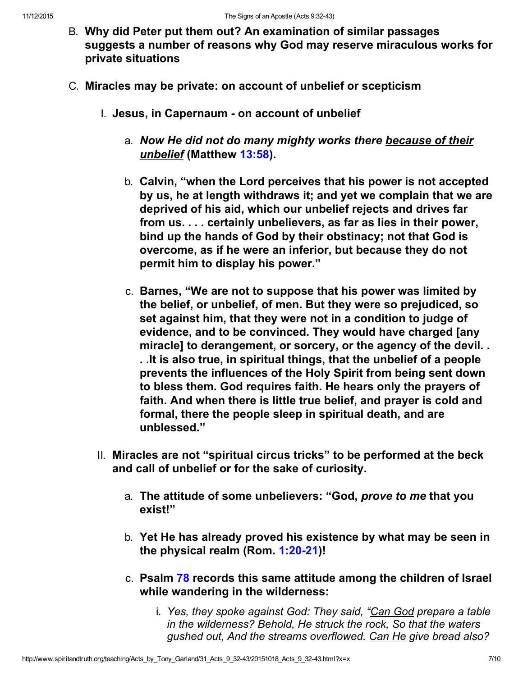- B. Why did Peter put them out? An examination of similar passages suggests a number of reasons why God may reserve miraculous works for private situations
- C. Miracles may be private: on account of unbelief or scepticism
	- I. Jesus, in Capernaum on account of unbelief
		- a. Now He did not do many mighty works there because of their unbelief (Matthew [13:58](http://www.spiritandtruth.org/bibles/nasb/b40c013.htm#Mat._C13V58)).
		- b. Calvin, "when the Lord perceives that his power is not accepted by us, he at length withdraws it; and yet we complain that we are deprived of his aid, which our unbelief rejects and drives far from us. . . . certainly unbelievers, as far as lies in their power, bind up the hands of God by their obstinacy; not that God is overcome, as if he were an inferior, but because they do not permit him to display his power."
		- c. Barnes, "We are not to suppose that his power was limited by the belief, or unbelief, of men. But they were so prejudiced, so set against him, that they were not in a condition to judge of evidence, and to be convinced. They would have charged [any miracle] to derangement, or sorcery, or the agency of the devil. . . .It is also true, in spiritual things, that the unbelief of a people prevents the influences of the Holy Spirit from being sent down to bless them. God requires faith. He hears only the prayers of faith. And when there is little true belief, and prayer is cold and formal, there the people sleep in spiritual death, and are unblessed."
	- II. Miracles are not "spiritual circus tricks" to be performed at the beck and call of unbelief or for the sake of curiosity.
		- a. The attitude of some unbelievers: "God, prove to me that you exist!"
		- b. Yet He has already proved his existence by what may be seen in the physical realm (Rom.  $1:20-21$ )!
		- c. Psalm [78](http://www.spiritandtruth.org/bibles/nasb/b19c078.htm#Ps._C78V1) records this same attitude among the children of Israel while wandering in the wilderness:
			- i. Yes, they spoke against God: They said, "Can God prepare a table in the wilderness? Behold, He struck the rock, So that the waters gushed out, And the streams overflowed. Can He give bread also?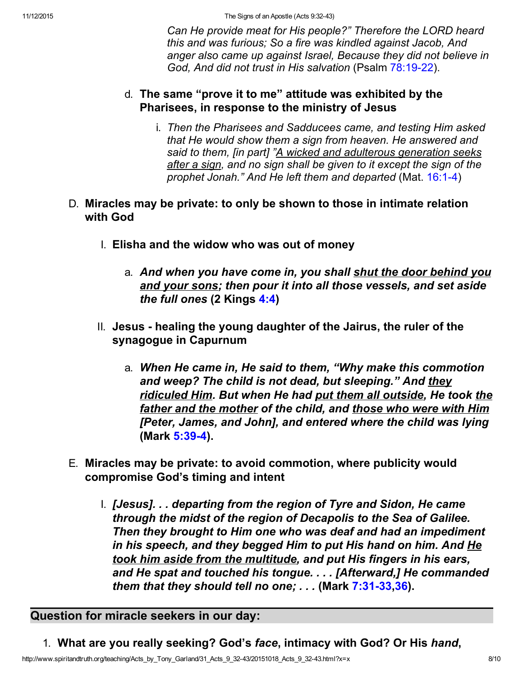Can He provide meat for His people?" Therefore the LORD heard this and was furious; So a fire was kindled against Jacob, And anger also came up against Israel, Because they did not believe in God, And did not trust in His salvation (Psalm 78:19-22).

### d. The same "prove it to me" attitude was exhibited by the Pharisees, in response to the ministry of Jesus

i. Then the Pharisees and Sadducees came, and testing Him asked that He would show them a sign from heaven. He answered and said to them, [in part] "A wicked and adulterous generation seeks after a sign, and no sign shall be given to it except the sign of the prophet Jonah." And He left them and departed (Mat. 16:1-4)

### D. Miracles may be private: to only be shown to those in intimate relation with God

- I. Elisha and the widow who was out of money
	- a. And when you have come in, you shall shut the door behind you and your sons; then pour it into all those vessels, and set aside the full ones (2 Kings [4:4\)](http://www.spiritandtruth.org/bibles/nasb/b12c004.htm#2K._C4V4)
- II. Jesus healing the young daughter of the Jairus, the ruler of the synagogue in Capurnum
	- a. When He came in, He said to them, "Why make this commotion and weep? The child is not dead, but sleeping." And they ridiculed Him. But when He had put them all outside, He took the father and the mother of the child, and those who were with Him [Peter, James, and John], and entered where the child was lying (Mark 5:39-4).
- E. Miracles may be private: to avoid commotion, where publicity would compromise God's timing and intent
	- I. [Jesus]. . . departing from the region of Tyre and Sidon, He came through the midst of the region of Decapolis to the Sea of Galilee. Then they brought to Him one who was deaf and had an impediment in his speech, and they begged Him to put His hand on him. And He took him aside from the multitude, and put His fingers in his ears, and He spat and touched his tongue. . . . [Afterward,] He commanded them that they should tell no one;  $\ldots$  (Mark  $7:31-33,36$  $7:31-33,36$ ).

### Question for miracle seekers in our day:

1. What are you really seeking? God's face, intimacy with God? Or His hand,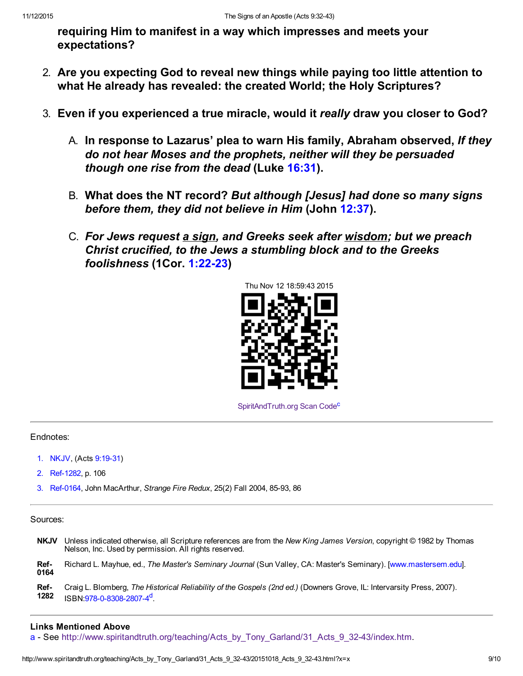requiring Him to manifest in a way which impresses and meets your expectations?

- 2. Are you expecting God to reveal new things while paying too little attention to what He already has revealed: the created World; the Holy Scriptures?
- 3. Even if you experienced a true miracle, would it really draw you closer to God?
	- A. In response to Lazarus' plea to warn His family, Abraham observed, If they do not hear Moses and the prophets, neither will they be persuaded though one rise from the dead (Luke [16:31\)](http://www.spiritandtruth.org/bibles/nasb/b42c016.htm#Luke_C16V31).
	- B. What does the NT record? But although [Jesus] had done so many signs before them, they did not believe in Him (John [12:37\)](http://www.spiritandtruth.org/bibles/nasb/b43c012.htm#John_C12V37).
	- C. For Jews request a sign, and Greeks seek after wisdom; but we preach Christ crucified, to the Jews a stumbling block and to the Greeks foolishness (1Cor. 1:22-23)



[SpiritAndTruth.org Scan Code](http://www.spiritandtruth.org/)<sup>c</sup>

#### Endnotes:

- 1. NKJV, (Acts 9:19-31)
- 2. Ref-1282, p. 106
- 3. Ref-0164, John MacArthur, Strange Fire Redux, 25(2) Fall 2004, 85-93, 86

Sources:

NKJV Unless indicated otherwise, all Scripture references are from the New King James Version, copyright © 1982 by Thomas Nelson, Inc. Used by permission. All rights reserved.

Ref-0164 Richard L. Mayhue, ed., The Master's Seminary Journal (Sun Valley, CA: Master's Seminary). [[www.mastersem.edu\]](http://www.mastersem.edu/).

Ref-1282 Craig L. Blomberg, The Historical Reliability of the Gospels (2nd ed.) (Downers Grove, IL: Intervarsity Press, 2007). ISBN:978-0-8308-2807-4<sup>d</sup>

#### Links Mentioned Above

[a](#page-0-0) - See http://www.spiritandtruth.org/teaching/Acts\_by\_Tony\_Garland/31\_Acts\_9\_32-43/index.htm.